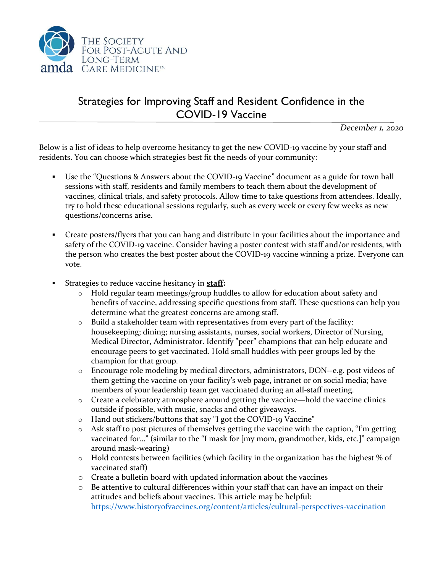

## Strategies for Improving Staff and Resident Confidence in the COVID-19 Vaccine

*December 1, 2020*

Below is a list of ideas to help overcome hesitancy to get the new COVID-19 vaccine by your staff and residents. You can choose which strategies best fit the needs of your community:

- Use the "Questions & Answers about the COVID-19 Vaccine" document as a guide for town hall sessions with staff, residents and family members to teach them about the development of vaccines, clinical trials, and safety protocols. Allow time to take questions from attendees. Ideally, try to hold these educational sessions regularly, such as every week or every few weeks as new questions/concerns arise.
- Create posters/flyers that you can hang and distribute in your facilities about the importance and safety of the COVID-19 vaccine. Consider having a poster contest with staff and/or residents, with the person who creates the best poster about the COVID-19 vaccine winning a prize. Everyone can vote.
- Strategies to reduce vaccine hesitancy in **staff:**
	- o Hold regular team meetings/group huddles to allow for education about safety and benefits of vaccine, addressing specific questions from staff. These questions can help you determine what the greatest concerns are among staff.
	- o Build a stakeholder team with representatives from every part of the facility: housekeeping; dining; nursing assistants, nurses, social workers, Director of Nursing, Medical Director, Administrator. Identify "peer" champions that can help educate and encourage peers to get vaccinated. Hold small huddles with peer groups led by the champion for that group.
	- o Encourage role modeling by medical directors, administrators, DON--e.g. post videos of them getting the vaccine on your facility's web page, intranet or on social media; have members of your leadership team get vaccinated during an all-staff meeting.
	- o Create a celebratory atmosphere around getting the vaccine—hold the vaccine clinics outside if possible, with music, snacks and other giveaways.
	- o Hand out stickers/buttons that say "I got the COVID-19 Vaccine"
	- o Ask staff to post pictures of themselves getting the vaccine with the caption, "I'm getting vaccinated for…" (similar to the "I mask for [my mom, grandmother, kids, etc.]" campaign around mask-wearing)
	- o Hold contests between facilities (which facility in the organization has the highest % of vaccinated staff)
	- o Create a bulletin board with updated information about the vaccines
	- o Be attentive to cultural differences within your staff that can have an impact on their attitudes and beliefs about vaccines. This article may be helpful: <https://www.historyofvaccines.org/content/articles/cultural-perspectives-vaccination>